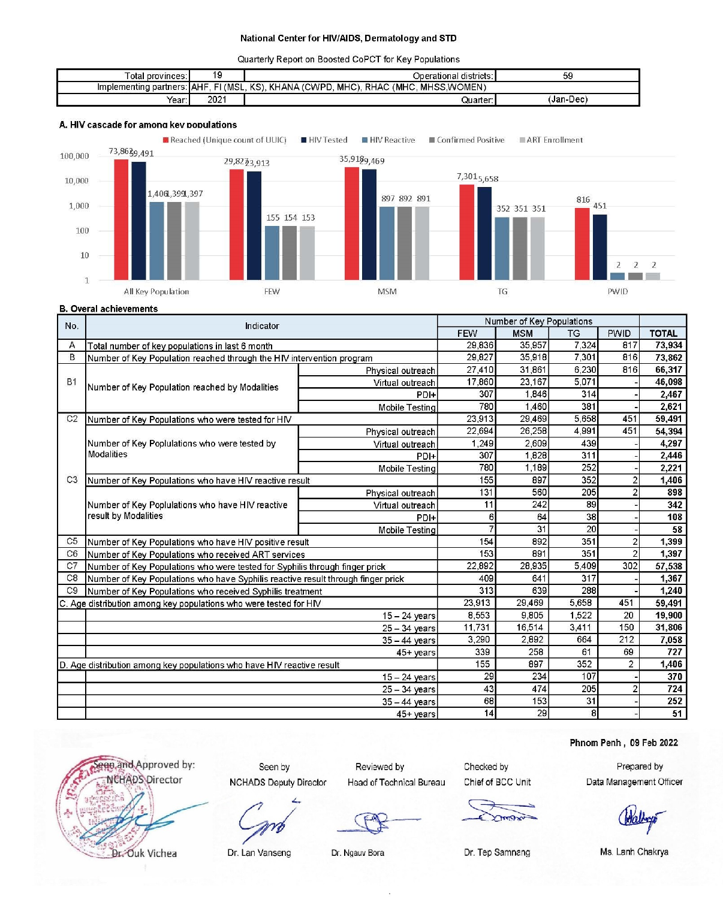Quarterly Report on Boosted CoPCT for Key Populations

| Total provinces∶i             | 19       | Operational districts: I                                       | 59        |
|-------------------------------|----------|----------------------------------------------------------------|-----------|
| Implementing partners:   AHF. | FI (MSL. | KS).<br>MHSS.WOMEN)<br>. KHANA (CWPD.<br>RHAC (MHC.<br>∴ MHC). |           |
| Year:                         | 2021     | Quarter:                                                       | (Jan-Dec) |

#### A. HIV cascade for among key populations



**B.** Overal achievements

| No.            | Indicator                                                                        |                       | Number of Key Populations |           |                |                |        |  |  |
|----------------|----------------------------------------------------------------------------------|-----------------------|---------------------------|-----------|----------------|----------------|--------|--|--|
|                |                                                                                  | <b>FEW</b>            | <b>MSM</b>                | <b>TG</b> | <b>PWID</b>    | <b>TOTAL</b>   |        |  |  |
| А              | Total number of key populations in last 6 month                                  | 29,836                | 35 957                    | 7,324     | 817            | 73.934         |        |  |  |
| B              | Number of Key Population reached through the HIV intervention program            |                       | 29,827                    | 35,918    | 7,301          | 816            | 73.862 |  |  |
|                |                                                                                  | Physical outreach     | 27,410                    | 31,861    | 6,230          | 816            | 66,317 |  |  |
| <b>B1</b>      | Number of Key Population reached by Modalities                                   | Virtual outreach      | 17,860                    | 23,167    | 5,071          |                | 46,098 |  |  |
|                |                                                                                  | PDI+                  | 307                       | 1.846     | 314            |                | 2,467  |  |  |
|                |                                                                                  | <b>Mobile Testing</b> | 780                       | 1.460     | 381            |                | 2,621  |  |  |
| C <sub>2</sub> | Number of Key Populations who were tested for HIV                                |                       | 23.913                    | 29,469    | 5.658          | 451            | 59,491 |  |  |
|                |                                                                                  | Physical outreach     | 22,694                    | 26,258    | 4,991          | 451            | 54,394 |  |  |
|                | Number of Key Poplulations who were tested by                                    | Virtual outreach      | 1,249                     | 2,609     | 439            |                | 4.297  |  |  |
|                | <b>Modalities</b>                                                                | PDI+                  | 307                       | 1.828     | 311            |                | 2.446  |  |  |
|                |                                                                                  | Mobile Testing        | 780                       | 1.189     | 252            |                | 2.221  |  |  |
| C <sub>3</sub> | Number of Key Populations who have HIV reactive result                           | 155                   | 897                       | 352       | $\overline{c}$ | 1.406          |        |  |  |
|                |                                                                                  | Physical outreach     | 131                       | 560       | 205            | $\overline{2}$ | 898    |  |  |
|                | Number of Key Poplulations who have HIV reactive                                 | Virtual outreach      | 11                        | 242       | 89             |                | 342    |  |  |
|                | result by Modalities                                                             | PDI+                  | 6                         | 64        | 38             |                | 108    |  |  |
|                |                                                                                  | <b>Mobile Testing</b> |                           | 31        | 20             |                | 58     |  |  |
| C <sub>5</sub> | Number of Key Populations who have HIV positive result                           |                       | 154                       | 892       | 351            | $\overline{2}$ | 1,399  |  |  |
| C <sub>6</sub> | Number of Key Populations who received ART services                              |                       | 153                       | 891       | 351            | $\overline{2}$ | 1,397  |  |  |
| C <sub>7</sub> | Number of Key Populations who were tested for Syphilis through finger prick      |                       | 22,892                    | 28.935    | 5.409          | 302            | 57.538 |  |  |
| C <sub>8</sub> | Number of Key Populations who have Syphilis reactive result through finger prick |                       | 409                       | 641       | 317            |                | 1.367  |  |  |
| C <sub>9</sub> | Number of Key Populations who received Syphilis treatment                        |                       | 313                       | 639       | 288            |                | 1,240  |  |  |
|                | C. Age distribution among key populations who were tested for HIV                |                       | 23.913                    | 29,469    | 5.658          | 451            | 59.491 |  |  |
|                |                                                                                  | $15 - 24$ years       | 8.553                     | 9.805     | 1.522          | 20             | 19.900 |  |  |
|                |                                                                                  | $25 - 34$ years       | 11 731                    | 16,514    | 3,411          | 150            | 31,806 |  |  |
|                |                                                                                  | $35 - 44$ years       | 3,290                     | 2.892     | 664            | 212            | 7,058  |  |  |
|                |                                                                                  | 45+ years             | 339                       | 258       | 61             | 69             | 727    |  |  |
|                | D. Age distribution among key populations who have HIV reactive result           |                       | 155                       | 897       | 352            | $\overline{2}$ | 1,406  |  |  |
|                |                                                                                  | $15 - 24$ years       | 29                        | 234       | 107            |                | 370    |  |  |
|                |                                                                                  | $25 - 34$ years       | 43                        | 474       | 205            | $\overline{c}$ | 724    |  |  |
|                |                                                                                  | $35 - 44$ years       | 68                        | 153       | 31             |                | 252    |  |  |
|                |                                                                                  | 45+ years             | 14                        | 29        | 8 <sup>1</sup> |                | 51     |  |  |

Phnom Penh, 09 Feb 2022

ege, and Approved by: **NCHADS Director** 

Seen by **NCHADS Deputy Director** 

Reviewed by Head of Technical Bureau Checked by Chief of BCC Unit

Prepared by Data Management Officer

Dr. Lan Vanseng

Dr. Ouk Vichea

Dr. Ngauv Bora

Dr. Tep Samnang

Ms. Lanh Chakrya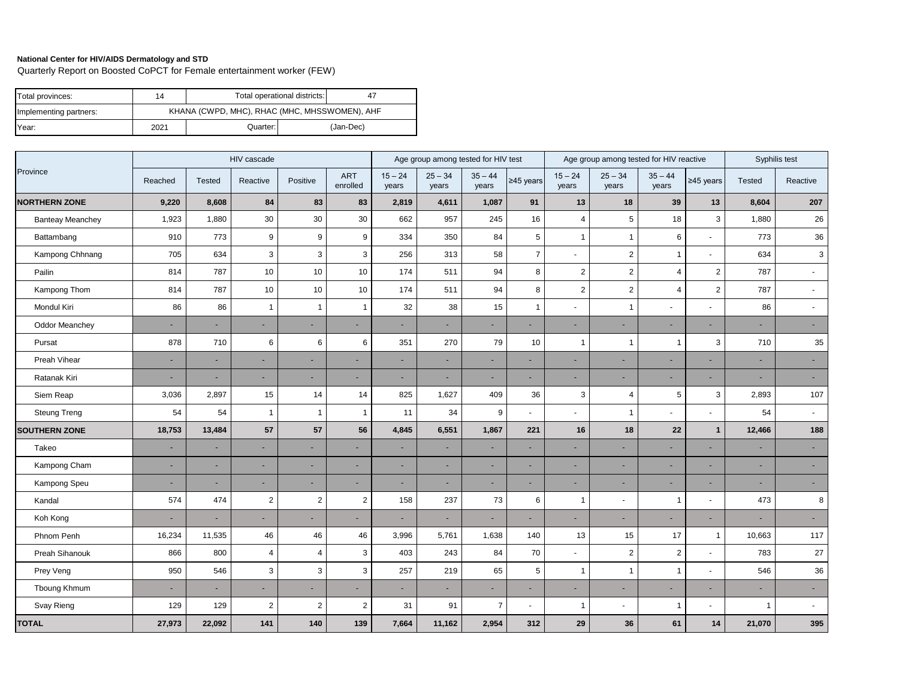Quarterly Report on Boosted CoPCT for Female entertainment worker (FEW)

| Total provinces:       | 14   |                                               | Total operational districts: | 4         |
|------------------------|------|-----------------------------------------------|------------------------------|-----------|
| Implementing partners: |      | KHANA (CWPD, MHC), RHAC (MHC, MHSSWOMEN), AHF |                              |           |
| Year:                  | 2021 | Quarter:                                      |                              | (Jan-Dec) |

|                         |                | Age group among tested for HIV test |                          |                |                        | Age group among tested for HIV reactive |                    |                    |                | Syphilis test            |                    |                    |                |                |                |
|-------------------------|----------------|-------------------------------------|--------------------------|----------------|------------------------|-----------------------------------------|--------------------|--------------------|----------------|--------------------------|--------------------|--------------------|----------------|----------------|----------------|
| Province                | Reached        | <b>Tested</b>                       | Reactive                 | Positive       | <b>ART</b><br>enrolled | $15 - 24$<br>years                      | $25 - 34$<br>years | $35 - 44$<br>years | $≥45$ years    | $15 - 24$<br>years       | $25 - 34$<br>years | $35 - 44$<br>years | $≥45$ years    | <b>Tested</b>  | Reactive       |
| <b>NORTHERN ZONE</b>    | 9,220          | 8,608                               | 84                       | 83             | 83                     | 2,819                                   | 4,611              | 1,087              | 91             | 13                       | 18                 | 39                 | 13             | 8,604          | 207            |
| <b>Banteay Meanchey</b> | 1,923          | 1,880                               | 30                       | 30             | 30                     | 662                                     | 957                | 245                | 16             | $\overline{4}$           | 5                  | 18                 | 3              | 1,880          | 26             |
| Battambang              | 910            | 773                                 | 9                        | 9              | 9                      | 334                                     | 350                | 84                 | 5              | $\mathbf{1}$             | $\mathbf{1}$       | 6                  |                | 773            | 36             |
| Kampong Chhnang         | 705            | 634                                 | 3                        | 3              | 3                      | 256                                     | 313                | 58                 | $\overline{7}$ | $\overline{\phantom{a}}$ | $\overline{2}$     | $\mathbf{1}$       |                | 634            | 3              |
| Pailin                  | 814            | 787                                 | 10                       | 10             | 10                     | 174                                     | 511                | 94                 | 8              | $\sqrt{2}$               | $\overline{2}$     | $\overline{4}$     | $\overline{c}$ | 787            | $\blacksquare$ |
| Kampong Thom            | 814            | 787                                 | 10                       | 10             | 10                     | 174                                     | 511                | 94                 | 8              | $\overline{2}$           | $\overline{2}$     | 4                  | $\overline{2}$ | 787            | $\sim$         |
| Mondul Kiri             | 86             | 86                                  | $\overline{1}$           | $\mathbf{1}$   | $\mathbf{1}$           | 32                                      | 38                 | 15                 | $\mathbf{1}$   |                          | $\mathbf{1}$       | $\blacksquare$     |                | 86             | $\sim$         |
| <b>Oddor Meanchey</b>   | $\blacksquare$ | ٠                                   | ٠                        | ٠              | $\blacksquare$         |                                         | ٠                  |                    | $\blacksquare$ | ٠                        | ۰                  | $\blacksquare$     |                | Ξ              | $\sim$         |
| Pursat                  | 878            | 710                                 | 6                        | 6              | 6                      | 351                                     | 270                | 79                 | 10             | $\mathbf{1}$             | $\mathbf{1}$       | $\overline{1}$     | 3              | 710            | 35             |
| Preah Vihear            | ٠              | ٠                                   |                          | $\sim$         | ٠                      | ٠                                       | ä,                 |                    | $\sim$         | ٠                        |                    | ٠                  |                | Ξ              | $\sim$         |
| Ratanak Kiri            |                |                                     |                          | ٠              |                        |                                         | ۰                  |                    | $\sim$         | ۰                        |                    | ٠                  |                |                | $\sim$         |
| Siem Reap               | 3,036          | 2,897                               | 15                       | 14             | 14                     | 825                                     | 1,627              | 409                | 36             | 3                        | 4                  | 5                  | 3              | 2,893          | 107            |
| <b>Steung Treng</b>     | 54             | 54                                  | $\mathbf{1}$             | 1              | $\overline{1}$         | 11                                      | 34                 | 9                  | $\mathbf{r}$   | $\blacksquare$           | $\overline{1}$     | $\blacksquare$     |                | 54             | $\sim$         |
| <b>SOUTHERN ZONE</b>    | 18,753         | 13,484                              | 57                       | 57             | 56                     | 4,845                                   | 6,551              | 1,867              | 221            | 16                       | 18                 | 22                 | $\mathbf{1}$   | 12,466         | 188            |
| Takeo                   | $\sim$         | ٠                                   | ٠                        | ٠              |                        |                                         | ۰                  |                    | ٠              |                          |                    | ٠                  |                |                | $\sim$         |
| Kampong Cham            | $\sim$         | ٠                                   | ٠                        | ×.             | $\blacksquare$         | $\sim$                                  | ٠                  | $\sim$             | $\sim$         | ٠                        | ٠                  | $\blacksquare$     |                | ٠              | $\sim$         |
| Kampong Speu            | $\sim$         | ٠                                   | ٠                        | ٠              | $\blacksquare$         | ٠                                       | ٠                  | $\sim$             | $\sim$         | ٠                        |                    | $\blacksquare$     |                | Ξ              | $\sim$         |
| Kandal                  | 574            | 474                                 | $\overline{2}$           | $\overline{2}$ | $\overline{2}$         | 158                                     | 237                | 73                 | 6              | $\overline{1}$           |                    | $\mathbf{1}$       |                | 473            | 8              |
| Koh Kong                |                |                                     | $\overline{\phantom{a}}$ | ٠              | ٠                      |                                         | ٠                  |                    | ٠              | ٠                        |                    | $\blacksquare$     |                |                | $\sim$         |
| Phnom Penh              | 16,234         | 11,535                              | 46                       | 46             | 46                     | 3,996                                   | 5,761              | 1,638              | 140            | 13                       | 15                 | 17                 | $\mathbf{1}$   | 10,663         | 117            |
| Preah Sihanouk          | 866            | 800                                 | $\overline{4}$           | $\overline{4}$ | $\sqrt{3}$             | 403                                     | 243                | 84                 | 70             | $\overline{\phantom{a}}$ | $\overline{2}$     | $\overline{2}$     |                | 783            | 27             |
| Prey Veng               | 950            | 546                                 | 3                        | 3              | 3                      | 257                                     | 219                | 65                 | 5              | $\mathbf 1$              | $\mathbf{1}$       | $\mathbf{1}$       |                | 546            | 36             |
| Tboung Khmum            | $\blacksquare$ | ٠                                   | ٠                        | ٠              | $\blacksquare$         |                                         | ٠                  |                    | $\blacksquare$ | ٠                        |                    | $\blacksquare$     |                |                | $\sim$         |
| Svay Rieng              | 129            | 129                                 | $\overline{2}$           | $\overline{2}$ | $\overline{2}$         | 31                                      | 91                 | $\overline{7}$     | $\blacksquare$ | $\mathbf 1$              |                    | $\overline{1}$     |                | $\overline{1}$ | $\sim$         |
| <b>TOTAL</b>            | 27,973         | 22,092                              | 141                      | 140            | 139                    | 7,664                                   | 11,162             | 2,954              | 312            | 29                       | 36                 | 61                 | 14             | 21,070         | 395            |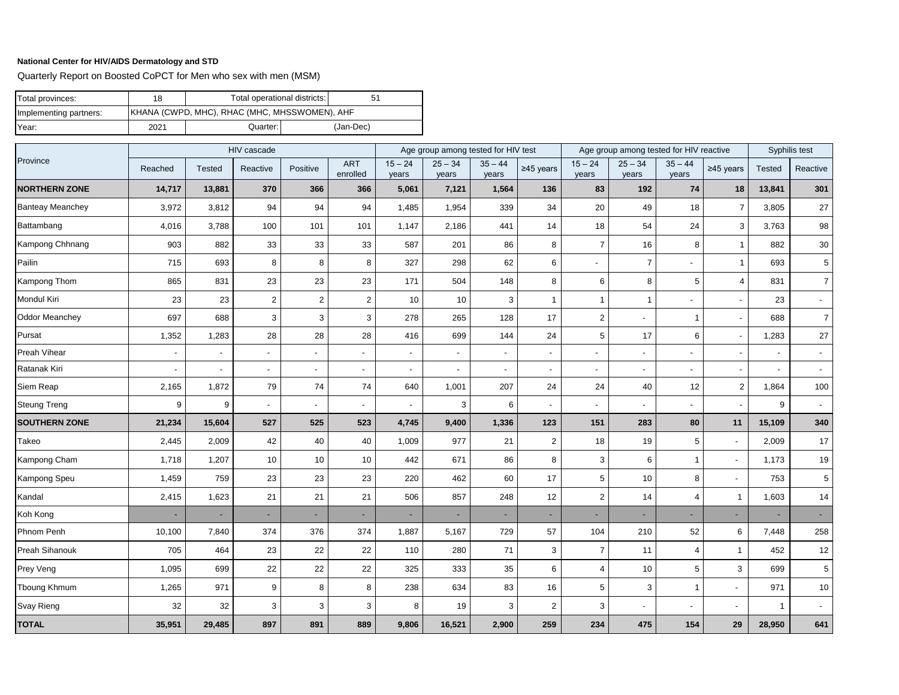Quarterly Report on Boosted CoPCT for Men who sex with men (MSM)

| Total provinces:       | 18   | Total operational districts:                          | 51 |           |  |  |  |  |
|------------------------|------|-------------------------------------------------------|----|-----------|--|--|--|--|
| Implementing partners: |      | <b>IKHANA (CWPD, MHC), RHAC (MHC, MHSSWOMEN), AHF</b> |    |           |  |  |  |  |
| Year:                  | 2021 | Quarter: I                                            |    | (Jan-Dec) |  |  |  |  |

|                         |         |                          | Age group among tested for HIV test |                          |                          |                          |                    | Age group among tested for HIV reactive |                |                          | Syphilis test            |                          |                          |               |                          |
|-------------------------|---------|--------------------------|-------------------------------------|--------------------------|--------------------------|--------------------------|--------------------|-----------------------------------------|----------------|--------------------------|--------------------------|--------------------------|--------------------------|---------------|--------------------------|
| Province                | Reached | <b>Tested</b>            | Reactive                            | Positive                 | <b>ART</b><br>enrolled   | $15 - 24$<br>years       | $25 - 34$<br>years | $35 - 44$<br>years                      | ≥45 years      | $15 - 24$<br>years       | $25 - 34$<br>years       | $35 - 44$<br>years       | $≥45$ years              | <b>Tested</b> | Reactive                 |
| <b>NORTHERN ZONE</b>    | 14,717  | 13,881                   | 370                                 | 366                      | 366                      | 5,061                    | 7,121              | 1,564                                   | 136            | 83                       | 192                      | 74                       | 18                       | 13,841        | 301                      |
| <b>Banteay Meanchey</b> | 3,972   | 3,812                    | 94                                  | 94                       | 94                       | 1,485                    | 1,954              | 339                                     | 34             | 20                       | 49                       | 18                       | $\overline{7}$           | 3,805         | 27                       |
| Battambang              | 4,016   | 3,788                    | 100                                 | 101                      | 101                      | 1,147                    | 2,186              | 441                                     | 14             | 18                       | 54                       | 24                       | 3                        | 3,763         | $98\,$                   |
| Kampong Chhnang         | 903     | 882                      | 33                                  | 33                       | 33                       | 587                      | 201                | 86                                      | 8              | $\overline{7}$           | 16                       | 8                        | $\mathbf{1}$             | 882           | $30\,$                   |
| Pailin                  | 715     | 693                      | 8                                   | 8                        | 8                        | 327                      | 298                | 62                                      | 6              | $\overline{a}$           | $\overline{7}$           | $\blacksquare$           | $\mathbf{1}$             | 693           | 5                        |
| Kampong Thom            | 865     | 831                      | 23                                  | 23                       | 23                       | 171                      | 504                | 148                                     | 8              | 6                        | 8                        | 5                        | $\overline{\mathbf{4}}$  | 831           | $\overline{7}$           |
| Mondul Kiri             | 23      | 23                       | $\overline{2}$                      | $\overline{c}$           | $\overline{2}$           | 10                       | 10                 | 3                                       | $\overline{1}$ | $\mathbf{1}$             | $\overline{1}$           | $\blacksquare$           | $\sim$                   | 23            | $\sim$                   |
| <b>Oddor Meanchey</b>   | 697     | 688                      | $\mathsf 3$                         | 3                        | 3                        | 278                      | 265                | 128                                     | 17             | $\overline{2}$           | $\overline{a}$           | $\mathbf{1}$             | $\overline{\phantom{a}}$ | 688           | $\overline{7}$           |
| Pursat                  | 1,352   | 1,283                    | 28                                  | 28                       | 28                       | 416                      | 699                | 144                                     | 24             | 5                        | 17                       | 6                        | $\overline{\phantom{a}}$ | 1,283         | $27\,$                   |
| Preah Vihear            |         | $\blacksquare$           |                                     | $\overline{\phantom{a}}$ |                          | $\blacksquare$           | $\overline{a}$     |                                         |                | $\overline{\phantom{0}}$ | $\overline{\phantom{a}}$ | $\blacksquare$           | $\overline{\phantom{a}}$ |               | $\sim$                   |
| Ratanak Kiri            |         | $\overline{\phantom{a}}$ |                                     | ÷,                       | $\overline{\phantom{a}}$ | $\overline{\phantom{a}}$ | $\overline{a}$     |                                         | $\overline{a}$ | $\overline{a}$           | $\overline{\phantom{a}}$ | $\overline{\phantom{0}}$ | $\blacksquare$           |               | $\sim$                   |
| Siem Reap               | 2,165   | 1,872                    | 79                                  | 74                       | 74                       | 640                      | 1,001              | 207                                     | 24             | 24                       | 40                       | 12                       | $\overline{2}$           | 1,864         | 100                      |
| <b>Steung Treng</b>     | 9       | 9                        | $\blacksquare$                      | $\overline{a}$           | $\blacksquare$           | $\blacksquare$           | 3                  | 6                                       | ÷,             | $\overline{a}$           | $\overline{\phantom{a}}$ | $\sim$                   | $\blacksquare$           | 9             | $\overline{\phantom{a}}$ |
| <b>SOUTHERN ZONE</b>    | 21,234  | 15,604                   | 527                                 | 525                      | 523                      | 4,745                    | 9,400              | 1,336                                   | 123            | 151                      | 283                      | 80                       | 11                       | 15,109        | 340                      |
| Takeo                   | 2,445   | 2,009                    | 42                                  | 40                       | 40                       | 1,009                    | 977                | 21                                      | $\overline{2}$ | 18                       | 19                       | 5                        | $\overline{\phantom{a}}$ | 2,009         | 17                       |
| Kampong Cham            | 1,718   | 1,207                    | 10                                  | 10                       | 10                       | 442                      | 671                | 86                                      | 8              | 3                        | 6                        | $\mathbf{1}$             | $\overline{\phantom{a}}$ | 1,173         | 19                       |
| Kampong Speu            | 1,459   | 759                      | 23                                  | 23                       | 23                       | 220                      | 462                | 60                                      | 17             | 5                        | 10                       | 8                        | $\blacksquare$           | 753           | 5                        |
| Kandal                  | 2,415   | 1,623                    | 21                                  | 21                       | 21                       | 506                      | 857                | 248                                     | 12             | $\overline{2}$           | 14                       | $\overline{4}$           | $\mathbf{1}$             | 1,603         | 14                       |
| Koh Kong                |         |                          |                                     | ä,                       |                          | ÷,                       | ٠                  |                                         |                | ä,                       |                          | L,                       | $\blacksquare$           |               | ÷.                       |
| Phnom Penh              | 10,100  | 7,840                    | 374                                 | 376                      | 374                      | 1,887                    | 5,167              | 729                                     | 57             | 104                      | 210                      | 52                       | 6                        | 7,448         | 258                      |
| Preah Sihanouk          | 705     | 464                      | 23                                  | 22                       | 22                       | 110                      | 280                | 71                                      | 3              | $\overline{7}$           | 11                       | $\overline{4}$           | $\mathbf{1}$             | 452           | $12\,$                   |
| Prey Veng               | 1,095   | 699                      | 22                                  | 22                       | 22                       | 325                      | 333                | 35                                      | 6              | $\overline{4}$           | 10                       | 5                        | 3                        | 699           | 5                        |
| Tboung Khmum            | 1,265   | 971                      | 9                                   | 8                        | 8                        | 238                      | 634                | 83                                      | 16             | 5                        | 3                        | $\mathbf{1}$             | $\overline{\phantom{a}}$ | 971           | 10                       |
| Svay Rieng              | 32      | 32                       | 3                                   | 3                        | 3                        | 8                        | 19                 | 3                                       | $\overline{2}$ | 3                        | $\overline{a}$           |                          | $\overline{\phantom{a}}$ | $\mathbf{1}$  | $\overline{\phantom{a}}$ |
| <b>TOTAL</b>            | 35,951  | 29,485                   | 897                                 | 891                      | 889                      | 9,806                    | 16,521             | 2,900                                   | 259            | 234                      | 475                      | 154                      | 29                       | 28,950        | 641                      |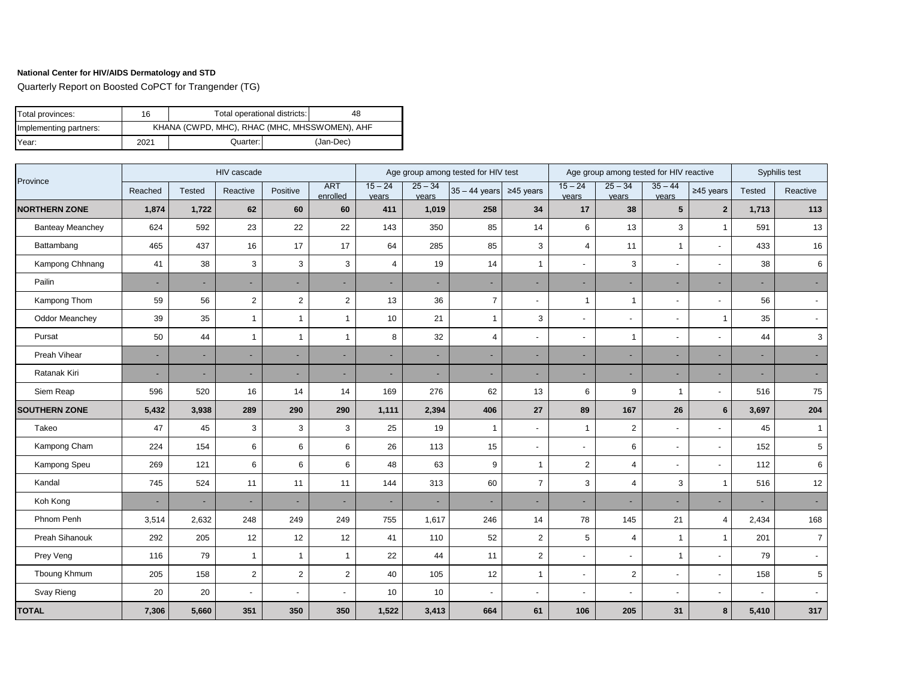Quarterly Report on Boosted CoPCT for Trangender (TG)

| Total provinces:       | 16   | Total operational districts:                  | 48 |  |  |  |  |  |  |  |
|------------------------|------|-----------------------------------------------|----|--|--|--|--|--|--|--|
| Implementing partners: |      | KHANA (CWPD, MHC), RHAC (MHC, MHSSWOMEN), AHF |    |  |  |  |  |  |  |  |
| Year:                  | 2021 | Quarter:                                      |    |  |  |  |  |  |  |  |

|                         |         | HIV cascade   |                         |                | Age group among tested for HIV test |                          |                    |                         |                          | Age group among tested for HIV reactive |                          |                    | Syphilis test           |               |                          |
|-------------------------|---------|---------------|-------------------------|----------------|-------------------------------------|--------------------------|--------------------|-------------------------|--------------------------|-----------------------------------------|--------------------------|--------------------|-------------------------|---------------|--------------------------|
| Province                | Reached | <b>Tested</b> | Reactive                | Positive       | <b>ART</b><br>enrolled              | $15 - 24$<br>vears       | $25 - 34$<br>vears | $35 - 44$ years         | $\geq$ 45 years          | $15 - 24$<br>vears                      | $25 - 34$<br>vears       | $35 - 44$<br>vears | $≥45$ years             | <b>Tested</b> | Reactive                 |
| <b>NORTHERN ZONE</b>    | 1,874   | 1,722         | 62                      | 60             | 60                                  | 411                      | 1,019              | 258                     | 34                       | 17                                      | 38                       | $5\phantom{.0}$    | $\overline{2}$          | 1,713         | 113                      |
| <b>Banteay Meanchey</b> | 624     | 592           | 23                      | 22             | 22                                  | 143                      | 350                | 85                      | 14                       | 6                                       | 13                       | 3                  | $\overline{1}$          | 591           | 13                       |
| Battambang              | 465     | 437           | 16                      | 17             | 17                                  | 64                       | 285                | 85                      | 3                        | $\overline{\mathbf{4}}$                 | 11                       | $\mathbf 1$        | $\overline{a}$          | 433           | 16                       |
| Kampong Chhnang         | 41      | 38            | 3                       | 3              | 3                                   | $\overline{4}$           | 19                 | 14                      | $\overline{1}$           | $\overline{\phantom{a}}$                | 3                        |                    | $\overline{a}$          | 38            | 6                        |
| Pailin                  | ٠       | ÷             | ٠                       | ٠              | $\overline{\phantom{a}}$            |                          |                    |                         | ٠                        | ٠                                       |                          |                    |                         |               |                          |
| Kampong Thom            | 59      | 56            | $\overline{2}$          | $\overline{2}$ | $\overline{2}$                      | 13                       | 36                 | $\overline{7}$          | $\overline{\phantom{m}}$ | $\mathbf{1}$                            | $\overline{1}$           |                    |                         | 56            |                          |
| <b>Oddor Meanchey</b>   | 39      | 35            | $\mathbf{1}$            | $\mathbf{1}$   | $\mathbf{1}$                        | 10                       | 21                 | $\mathbf{1}$            | 3                        | $\overline{\phantom{a}}$                |                          |                    | $\overline{\mathbf{1}}$ | 35            |                          |
| Pursat                  | 50      | 44            | 1                       | $\mathbf{1}$   | $\mathbf{1}$                        | 8                        | 32                 | $\overline{\mathbf{4}}$ | $\blacksquare$           | $\overline{\phantom{a}}$                | 1                        |                    |                         | 44            | 3                        |
| Preah Vihear            | ٠       | ٠             | ۰                       | ÷.             | $\sim$                              |                          |                    |                         | ٠                        | $\sim$                                  |                          |                    |                         |               |                          |
| Ratanak Kiri            | ÷.      | ÷             | ٠                       | ÷.             | $\sim$                              |                          |                    |                         | ٠                        | $\sim$                                  |                          |                    | ٠                       |               |                          |
| Siem Reap               | 596     | 520           | 16                      | 14             | 14                                  | 169                      | 276                | 62                      | 13                       | 6                                       | 9                        | $\mathbf 1$        | $\overline{a}$          | 516           | 75                       |
| <b>SOUTHERN ZONE</b>    | 5,432   | 3,938         | 289                     | 290            | 290                                 | 1,111                    | 2,394              | 406                     | 27                       | 89                                      | 167                      | 26                 | $6\phantom{1}$          | 3,697         | 204                      |
| Takeo                   | 47      | 45            | 3                       | 3              | $\mathsf 3$                         | 25                       | 19                 | 1                       | $\overline{\phantom{a}}$ | $\mathbf{1}$                            | $\overline{2}$           |                    | $\overline{a}$          | 45            | -1                       |
| Kampong Cham            | 224     | 154           | 6                       | 6              | $\,6\,$                             | 26                       | 113                | 15                      | $\overline{\phantom{a}}$ | $\overline{\phantom{a}}$                | 6                        |                    | ٠                       | 152           | 5                        |
| Kampong Speu            | 269     | 121           | 6                       | 6              | 6                                   | 48                       | 63                 | 9                       | $\overline{1}$           | $\overline{2}$                          | $\overline{4}$           |                    |                         | 112           | 6                        |
| Kandal                  | 745     | 524           | 11                      | 11             | 11                                  | 144                      | 313                | 60                      | $\overline{7}$           | 3                                       | $\overline{4}$           | 3                  | $\overline{1}$          | 516           | $12$                     |
| Koh Kong                | ÷.      | ٠             |                         | ×.             | $\sim$                              | $\overline{\phantom{a}}$ |                    |                         | ٠                        | $\sim$                                  | $\overline{\phantom{a}}$ |                    |                         |               |                          |
| Phnom Penh              | 3,514   | 2,632         | 248                     | 249            | 249                                 | 755                      | 1,617              | 246                     | 14                       | 78                                      | 145                      | 21                 | $\overline{4}$          | 2,434         | 168                      |
| Preah Sihanouk          | 292     | 205           | 12                      | 12             | 12                                  | 41                       | 110                | 52                      | $\overline{c}$           | 5                                       | $\overline{4}$           | $\mathbf{1}$       | $\overline{1}$          | 201           | $\overline{7}$           |
| Prey Veng               | 116     | 79            | $\overline{1}$          | $\mathbf{1}$   | $\mathbf{1}$                        | 22                       | 44                 | 11                      | $\overline{c}$           | $\blacksquare$                          | $\overline{\phantom{a}}$ | $\mathbf{1}$       | $\overline{a}$          | 79            | $\overline{\phantom{a}}$ |
| Tboung Khmum            | 205     | 158           | $\overline{\mathbf{c}}$ | $\overline{c}$ | $\overline{c}$                      | 40                       | 105                | 12                      | $\mathbf{1}$             | $\blacksquare$                          | $\overline{c}$           |                    | $\overline{a}$          | 158           | $\sqrt{5}$               |
| Svay Rieng              | 20      | 20            | $\blacksquare$          | $\blacksquare$ | $\overline{\phantom{a}}$            | 10                       | 10                 |                         | $\overline{\phantom{a}}$ | $\blacksquare$                          | $\overline{\phantom{a}}$ |                    | ٠                       |               |                          |
| <b>TOTAL</b>            | 7,306   | 5,660         | 351                     | 350            | 350                                 | 1,522                    | 3,413              | 664                     | 61                       | 106                                     | 205                      | 31                 | 8                       | 5,410         | 317                      |